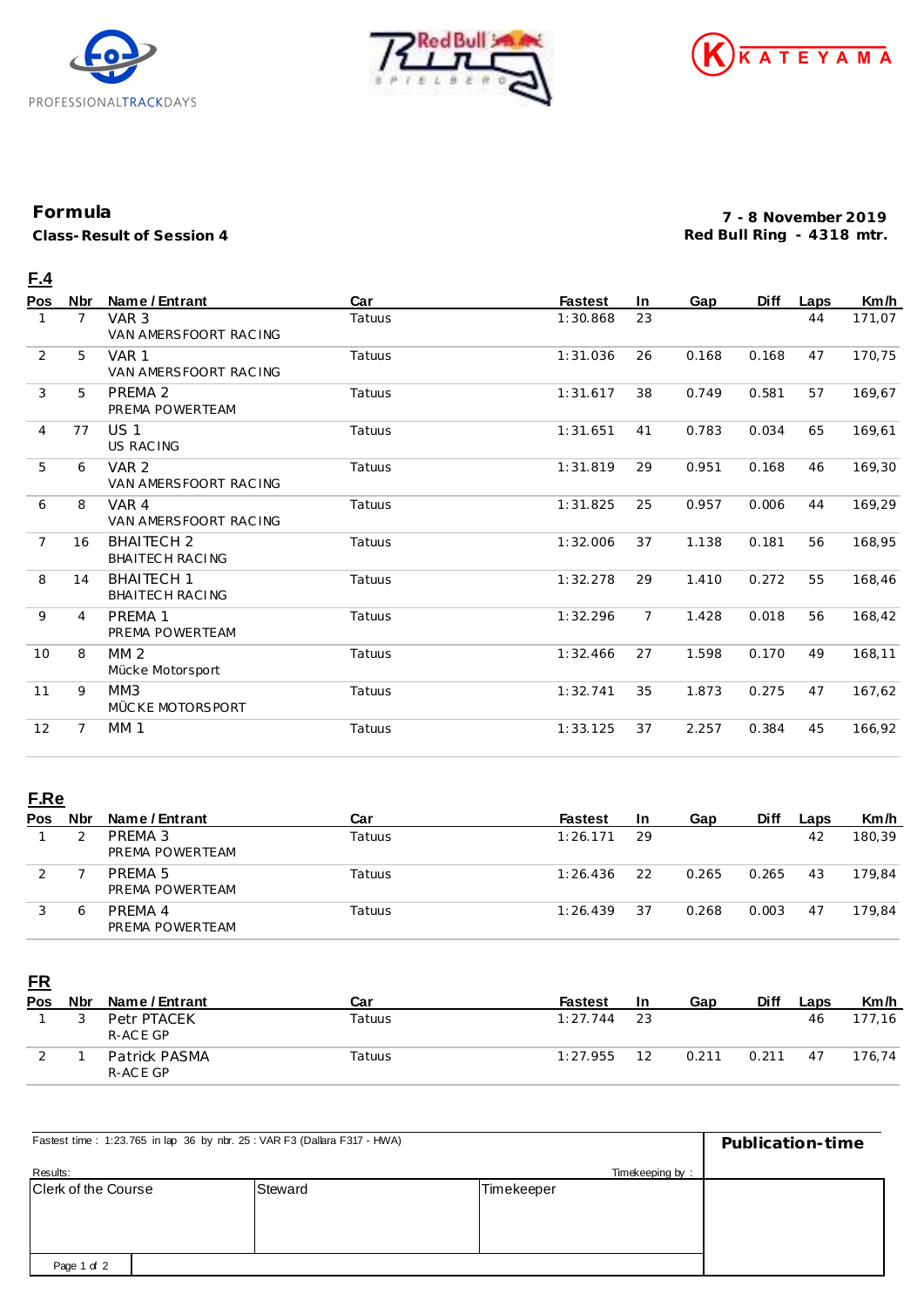





## **Formula**

**Class-Result of Session 4**

**7 - 8 November 2019 Red Bull Ring - 4318 mtr.**

## **F.4**

| Pos            | Nbr | Name / Entrant                            | Car    | <b>Fastest</b> | In.            | Gap   | <b>Diff</b> | Laps | Km/h   |
|----------------|-----|-------------------------------------------|--------|----------------|----------------|-------|-------------|------|--------|
|                | 7   | VAR <sub>3</sub><br>VAN AMERSFOORT RACING | Tatuus | 1:30.868       | 23             |       |             | 44   | 171,07 |
| 2              | 5   | VAR 1<br>VAN AMERSFOORT RACING            | Tatuus | 1:31.036       | 26             | 0.168 | 0.168       | 47   | 170,75 |
| 3              | 5   | PREMA 2<br>PREMA POWERTEAM                | Tatuus | 1:31.617       | 38             | 0.749 | 0.581       | 57   | 169,67 |
| $\overline{4}$ | 77  | US <sub>1</sub><br><b>US RACING</b>       | Tatuus | 1:31.651       | 41             | 0.783 | 0.034       | 65   | 169,61 |
| 5              | 6   | VAR <sub>2</sub><br>VAN AMERSFOORT RACING | Tatuus | 1:31.819       | 29             | 0.951 | 0.168       | 46   | 169,30 |
| 6              | 8   | VAR 4<br>VAN AMERSFOORT RACING            | Tatuus | 1:31.825       | 25             | 0.957 | 0.006       | 44   | 169,29 |
| $\overline{7}$ | 16  | <b>BHAITECH 2</b><br>BHAITECH RACING      | Tatuus | 1:32.006       | 37             | 1.138 | 0.181       | 56   | 168,95 |
| 8              | 14  | <b>BHAITECH 1</b><br>BHAITECH RACING      | Tatuus | 1:32.278       | 29             | 1.410 | 0.272       | 55   | 168,46 |
| 9              | 4   | PREMA 1<br>PREMA POWERTEAM                | Tatuus | 1:32.296       | $\overline{7}$ | 1.428 | 0.018       | 56   | 168,42 |
| 10             | 8   | MM <sub>2</sub><br>Mücke Motorsport       | Tatuus | 1:32.466       | 27             | 1.598 | 0.170       | 49   | 168,11 |
| 11             | 9   | MM3<br>MÜCKE MOTORSPORT                   | Tatuus | 1:32.741       | 35             | 1.873 | 0.275       | 47   | 167,62 |
| 12             | 7   | MM <sub>1</sub>                           | Tatuus | 1:33.125       | 37             | 2.257 | 0.384       | 45   | 166,92 |

## **F.Re**

| Pos | Nbr | Name / Entrant                        | Car    | <b>Fastest</b> | <b>In</b> | Gap   | <b>Diff</b> | Laps | Km/h   |
|-----|-----|---------------------------------------|--------|----------------|-----------|-------|-------------|------|--------|
|     |     | PREMA 3<br>PREMA POWERTEAM            | Tatuus | 1:26.171       | 29        |       |             | 42   | 180,39 |
|     |     | PREMA <sub>5</sub><br>PREMA POWERTEAM | Tatuus | 1:26.436       | 22        | 0.265 | 0.265       | 43   | 179.84 |
|     | Ô   | PRFMA 4<br>PREMA POWERTEAM            | Tatuus | 1:26.439       | 37        | 0.268 | 0.003       | 47   | 179.84 |

**FR**

| <b>Pos</b> | Nbr | Name / Entrant            | Car    | <b>Fastest</b> | 1n | Gap   | <b>Diff</b> | Laps | Km/h   |
|------------|-----|---------------------------|--------|----------------|----|-------|-------------|------|--------|
|            | 3   | Petr PTACEK<br>R-ACE GP   | Tatuus | 1:27.744       | 23 |       |             | 46   | 177.16 |
|            |     | Patrick PASMA<br>R-ACE GP | Tatuus | 1:27.955       | 1つ | 0.211 | 0.211       | 47   | 176.74 |

| Fastest time: 1:23.765 in lap 36 by nbr. 25: VAR F3 (Dallara F317 - HWA) | Publication-time |            |  |
|--------------------------------------------------------------------------|------------------|------------|--|
| Results:                                                                 | Timekeeping by:  |            |  |
| Clerk of the Course                                                      | Steward          | Timekeeper |  |
|                                                                          |                  |            |  |
| Page 1 of 2                                                              |                  |            |  |